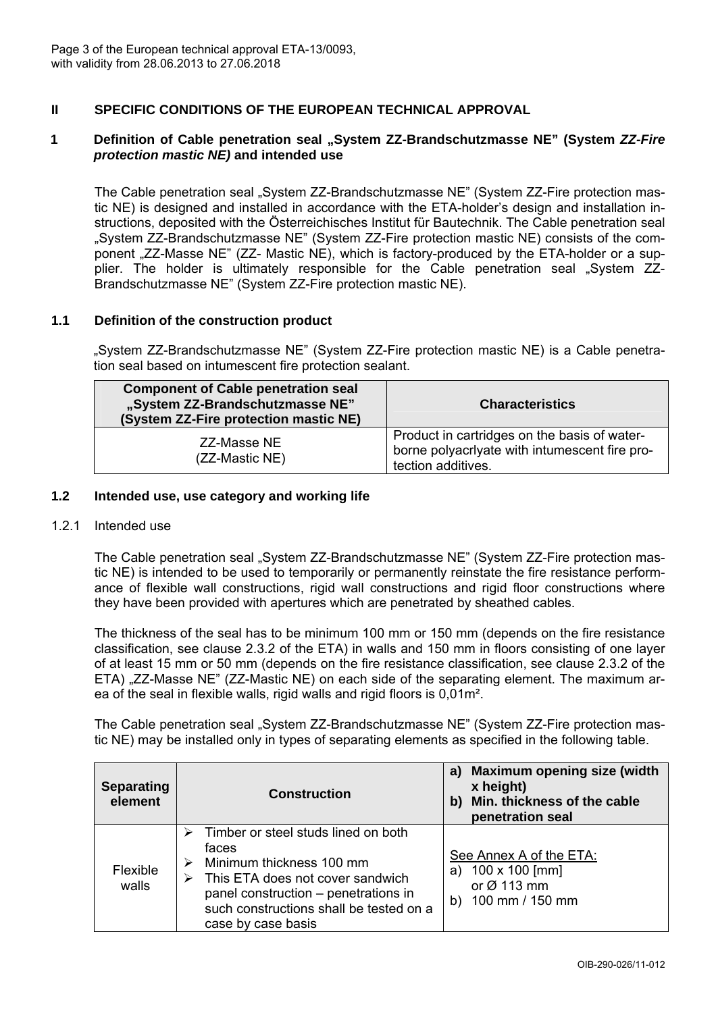

# **II SPECIFIC CONDITIONS OF THE EUROPEAN TECHNICAL APPROVAL**

### **1 Definition of Cable penetration seal "System ZZ-Brandschutzmasse NE" (System** *ZZ-Fire protection mastic NE)* **and intended use**

The Cable penetration seal "System ZZ-Brandschutzmasse NE" (System ZZ-Fire protection mastic NE) is designed and installed in accordance with the ETA-holder's design and installation instructions, deposited with the Österreichisches Institut für Bautechnik. The Cable penetration seal "System ZZ-Brandschutzmasse NE" (System ZZ-Fire protection mastic NE) consists of the component "ZZ-Masse NE" (ZZ- Mastic NE), which is factory-produced by the ETA-holder or a supplier. The holder is ultimately responsible for the Cable penetration seal "System ZZ-Brandschutzmasse NE" (System ZZ-Fire protection mastic NE).

### **1.1 Definition of the construction product**

"System ZZ-Brandschutzmasse NE" (System ZZ-Fire protection mastic NE) is a Cable penetration seal based on intumescent fire protection sealant.

| <b>Component of Cable penetration seal</b><br>"System ZZ-Brandschutzmasse NE"<br>(System ZZ-Fire protection mastic NE) | <b>Characteristics</b>                                                                                              |
|------------------------------------------------------------------------------------------------------------------------|---------------------------------------------------------------------------------------------------------------------|
| ZZ-Masse NE<br>(ZZ-Mastic NE)                                                                                          | Product in cartridges on the basis of water-<br>borne polyacriyate with intumescent fire pro-<br>tection additives. |

### **1.2 Intended use, use category and working life**

#### 1.2.1 Intended use

The Cable penetration seal "System ZZ-Brandschutzmasse NE" (System ZZ-Fire protection mastic NE) is intended to be used to temporarily or permanently reinstate the fire resistance performance of flexible wall constructions, rigid wall constructions and rigid floor constructions where they have been provided with apertures which are penetrated by sheathed cables.

The thickness of the seal has to be minimum 100 mm or 150 mm (depends on the fire resistance classification, see clause 2.3.2 of the ETA) in walls and 150 mm in floors consisting of one layer of at least 15 mm or 50 mm (depends on the fire resistance classification, see clause 2.3.2 of the ETA) ...ZZ-Masse NE" (ZZ-Mastic NE) on each side of the separating element. The maximum area of the seal in flexible walls, rigid walls and rigid floors is 0,01m².

The Cable penetration seal "System ZZ-Brandschutzmasse NE" (System ZZ-Fire protection mastic NE) may be installed only in types of separating elements as specified in the following table.

| <b>Separating</b><br>element | <b>Construction</b>                                                                                                                                                                                                        | <b>Maximum opening size (width</b><br>a)<br>x height)<br>Min. thickness of the cable<br>b)<br>penetration seal |
|------------------------------|----------------------------------------------------------------------------------------------------------------------------------------------------------------------------------------------------------------------------|----------------------------------------------------------------------------------------------------------------|
| Flexible<br>walls            | Timber or steel studs lined on both<br>faces<br>Minimum thickness 100 mm<br>This ETA does not cover sandwich<br>⋗<br>panel construction – penetrations in<br>such constructions shall be tested on a<br>case by case basis | See Annex A of the ETA:<br>100 x 100 [mm]<br>a)<br>or $\varnothing$ 113 mm<br>100 mm / 150 mm<br>b)            |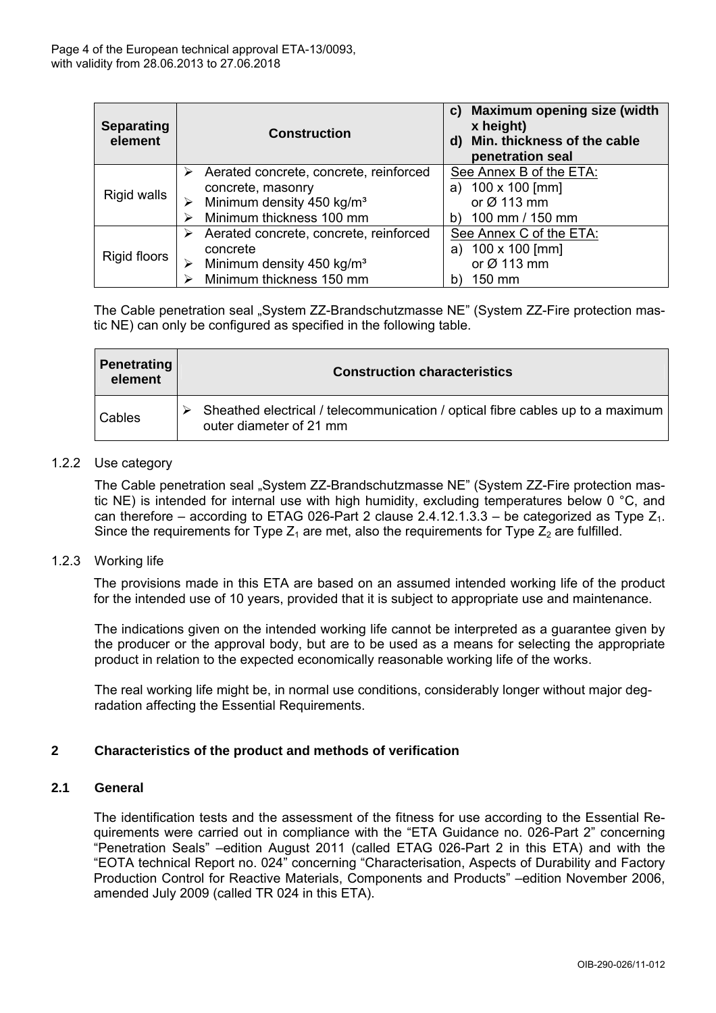

| Separating<br>element | <b>Construction</b>                                         | c) Maximum opening size (width<br>x height)<br>d) Min. thickness of the cable<br>penetration seal |
|-----------------------|-------------------------------------------------------------|---------------------------------------------------------------------------------------------------|
| Rigid walls           | Aerated concrete, concrete, reinforced<br>concrete, masonry | See Annex B of the ETA:<br>100 x 100 [mm]<br>a)                                                   |
|                       | Minimum density 450 kg/m <sup>3</sup>                       | or $Ø$ 113 mm                                                                                     |
|                       | Minimum thickness 100 mm                                    | 100 mm / 150 mm<br>b)                                                                             |
| Rigid floors          | Aerated concrete, concrete, reinforced                      | See Annex C of the ETA:                                                                           |
|                       | concrete                                                    | 100 x 100 [mm]<br>a)                                                                              |
|                       | Minimum density 450 kg/m <sup>3</sup>                       | or Ø 113 mm                                                                                       |
|                       | Minimum thickness 150 mm                                    | 150 mm                                                                                            |

The Cable penetration seal "System ZZ-Brandschutzmasse NE" (System ZZ-Fire protection mastic NE) can only be configured as specified in the following table.

| Penetrating<br>element | <b>Construction characteristics</b>                                                                       |
|------------------------|-----------------------------------------------------------------------------------------------------------|
| l Cables               | Sheathed electrical / telecommunication / optical fibre cables up to a maximum<br>outer diameter of 21 mm |

### 1.2.2 Use category

The Cable penetration seal "System ZZ-Brandschutzmasse NE" (System ZZ-Fire protection mastic NE) is intended for internal use with high humidity, excluding temperatures below 0 °C, and can therefore – according to ETAG 026-Part 2 clause 2.4.12.1.3.3 – be categorized as Type  $Z_1$ . Since the requirements for Type  $Z_1$  are met, also the requirements for Type  $Z_2$  are fulfilled.

### 1.2.3 Working life

The provisions made in this ETA are based on an assumed intended working life of the product for the intended use of 10 years, provided that it is subject to appropriate use and maintenance.

The indications given on the intended working life cannot be interpreted as a guarantee given by the producer or the approval body, but are to be used as a means for selecting the appropriate product in relation to the expected economically reasonable working life of the works.

The real working life might be, in normal use conditions, considerably longer without major degradation affecting the Essential Requirements.

# **2 Characteristics of the product and methods of verification**

### **2.1 General**

The identification tests and the assessment of the fitness for use according to the Essential Requirements were carried out in compliance with the "ETA Guidance no. 026-Part 2" concerning "Penetration Seals" –edition August 2011 (called ETAG 026-Part 2 in this ETA) and with the "EOTA technical Report no. 024" concerning "Characterisation, Aspects of Durability and Factory Production Control for Reactive Materials, Components and Products" –edition November 2006, amended July 2009 (called TR 024 in this ETA).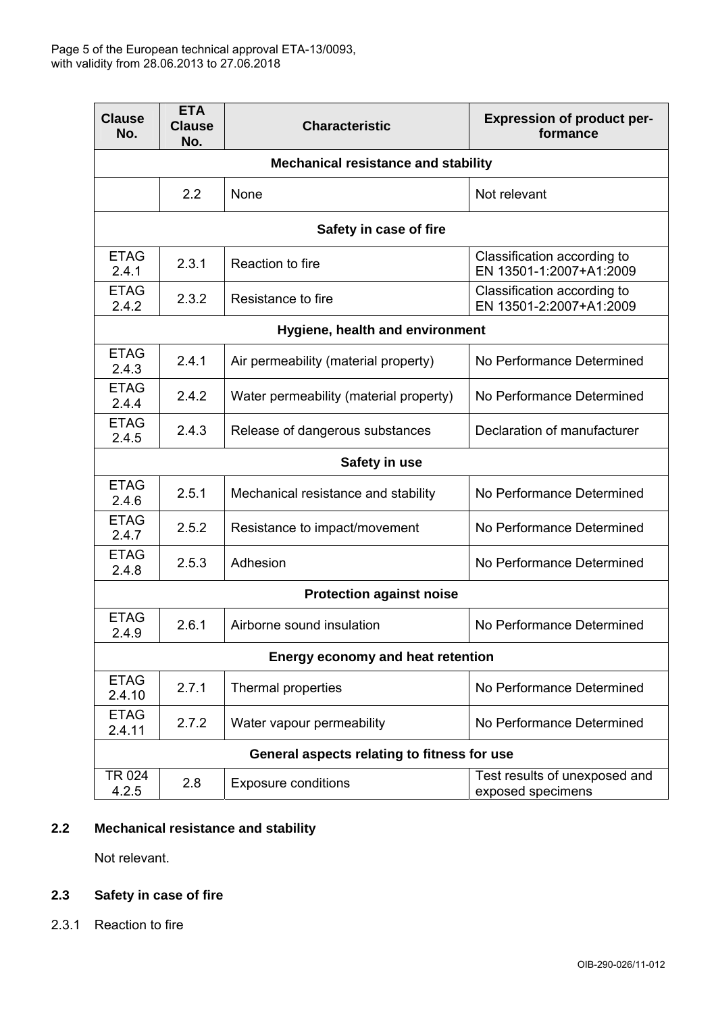

| <b>Clause</b><br>No.                                                                              | <b>ETA</b><br><b>Clause</b><br>No. | <b>Characteristic</b>                                  | <b>Expression of product per-</b><br>formance          |  |  |  |
|---------------------------------------------------------------------------------------------------|------------------------------------|--------------------------------------------------------|--------------------------------------------------------|--|--|--|
| <b>Mechanical resistance and stability</b>                                                        |                                    |                                                        |                                                        |  |  |  |
|                                                                                                   | 2.2                                | None<br>Not relevant                                   |                                                        |  |  |  |
|                                                                                                   | Safety in case of fire             |                                                        |                                                        |  |  |  |
| <b>ETAG</b><br>2.4.1                                                                              | 2.3.1                              | Reaction to fire                                       | Classification according to<br>EN 13501-1:2007+A1:2009 |  |  |  |
| <b>ETAG</b><br>2.4.2                                                                              | 2.3.2                              | Resistance to fire                                     | Classification according to<br>EN 13501-2:2007+A1:2009 |  |  |  |
| Hygiene, health and environment                                                                   |                                    |                                                        |                                                        |  |  |  |
| <b>ETAG</b><br>2.4.3                                                                              | 2.4.1                              | Air permeability (material property)                   | No Performance Determined                              |  |  |  |
| <b>ETAG</b><br>2.4.4                                                                              | 2.4.2                              | Water permeability (material property)                 | No Performance Determined                              |  |  |  |
| <b>ETAG</b><br>2.4.5                                                                              | 2.4.3                              | Release of dangerous substances                        | Declaration of manufacturer                            |  |  |  |
|                                                                                                   | Safety in use                      |                                                        |                                                        |  |  |  |
| <b>ETAG</b><br>2.5.1<br>No Performance Determined<br>Mechanical resistance and stability<br>2.4.6 |                                    |                                                        |                                                        |  |  |  |
| <b>ETAG</b><br>2.4.7                                                                              | 2.5.2                              | Resistance to impact/movement                          | No Performance Determined                              |  |  |  |
| <b>ETAG</b><br>2.4.8                                                                              | 2.5.3                              | Adhesion                                               | No Performance Determined                              |  |  |  |
| <b>Protection against noise</b>                                                                   |                                    |                                                        |                                                        |  |  |  |
| <b>ETAG</b><br>2.4.9                                                                              | 2.6.1<br>Airborne sound insulation |                                                        | No Performance Determined                              |  |  |  |
| <b>Energy economy and heat retention</b>                                                          |                                    |                                                        |                                                        |  |  |  |
| <b>ETAG</b><br>2.4.10                                                                             | 2.7.1                              | Thermal properties                                     | No Performance Determined                              |  |  |  |
| <b>ETAG</b><br>2.4.11                                                                             | 2.7.2                              | No Performance Determined<br>Water vapour permeability |                                                        |  |  |  |
| General aspects relating to fitness for use                                                       |                                    |                                                        |                                                        |  |  |  |
| TR 024<br>4.2.5                                                                                   | 2.8                                | <b>Exposure conditions</b>                             | Test results of unexposed and<br>exposed specimens     |  |  |  |

# **2.2 Mechanical resistance and stability**

Not relevant.

# **2.3 Safety in case of fire**

2.3.1 Reaction to fire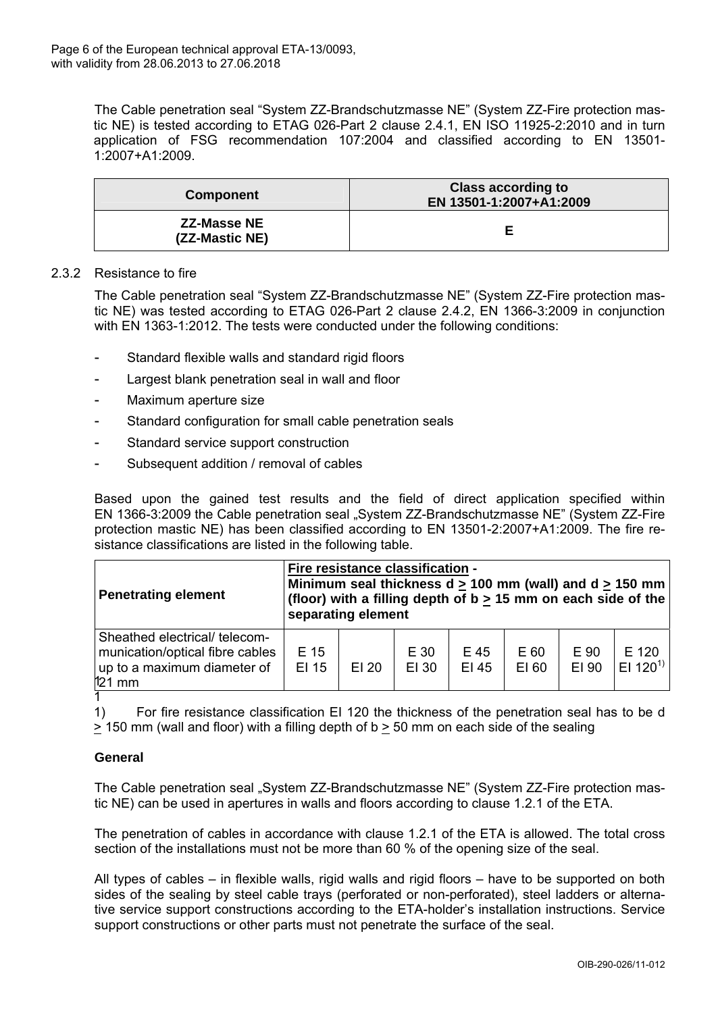

The Cable penetration seal "System ZZ-Brandschutzmasse NE" (System ZZ-Fire protection mastic NE) is tested according to ETAG 026-Part 2 clause 2.4.1, EN ISO 11925-2:2010 and in turn application of FSG recommendation 107:2004 and classified according to EN 13501- 1:2007+A1:2009.

| <b>Component</b>                     | <b>Class according to</b><br>EN 13501-1:2007+A1:2009 |  |  |
|--------------------------------------|------------------------------------------------------|--|--|
| <b>ZZ-Masse NE</b><br>(ZZ-Mastic NE) |                                                      |  |  |

### 2.3.2 Resistance to fire

The Cable penetration seal "System ZZ-Brandschutzmasse NE" (System ZZ-Fire protection mastic NE) was tested according to ETAG 026-Part 2 clause 2.4.2, EN 1366-3:2009 in conjunction with EN 1363-1:2012. The tests were conducted under the following conditions:

- Standard flexible walls and standard rigid floors
- Largest blank penetration seal in wall and floor
- Maximum aperture size
- Standard configuration for small cable penetration seals
- Standard service support construction
- Subsequent addition / removal of cables

Based upon the gained test results and the field of direct application specified within EN 1366-3:2009 the Cable penetration seal "System ZZ-Brandschutzmasse NE" (System ZZ-Fire protection mastic NE) has been classified according to EN 13501-2:2007+A1:2009. The fire resistance classifications are listed in the following table.

| <b>Penetrating element</b>                                                                                  | Fire resistance classification -<br>Minimum seal thickness $d \ge 100$ mm (wall) and $d \ge 150$ mm<br>(floor) with a filling depth of $b \ge 15$ mm on each side of the<br>separating element |       |               |               |               |               |                               |
|-------------------------------------------------------------------------------------------------------------|------------------------------------------------------------------------------------------------------------------------------------------------------------------------------------------------|-------|---------------|---------------|---------------|---------------|-------------------------------|
| Sheathed electrical/ telecom-<br>munication/optical fibre cables<br>up to a maximum diameter of<br>$121$ mm | E 15<br>EI 15                                                                                                                                                                                  | EI 20 | E 30<br>EI 30 | E 45<br>EI 45 | E 60<br>EI 60 | E 90<br>EI 90 | E 120<br>EI 120 <sup>1)</sup> |

1) For fire resistance classification EI 120 the thickness of the penetration seal has to be d  $\geq$  150 mm (wall and floor) with a filling depth of b  $\geq$  50 mm on each side of the sealing

# **General**

The Cable penetration seal "System ZZ-Brandschutzmasse NE" (System ZZ-Fire protection mastic NE) can be used in apertures in walls and floors according to clause 1.2.1 of the ETA.

The penetration of cables in accordance with clause 1.2.1 of the ETA is allowed. The total cross section of the installations must not be more than 60 % of the opening size of the seal.

All types of cables – in flexible walls, rigid walls and rigid floors – have to be supported on both sides of the sealing by steel cable trays (perforated or non-perforated), steel ladders or alternative service support constructions according to the ETA-holder's installation instructions. Service support constructions or other parts must not penetrate the surface of the seal.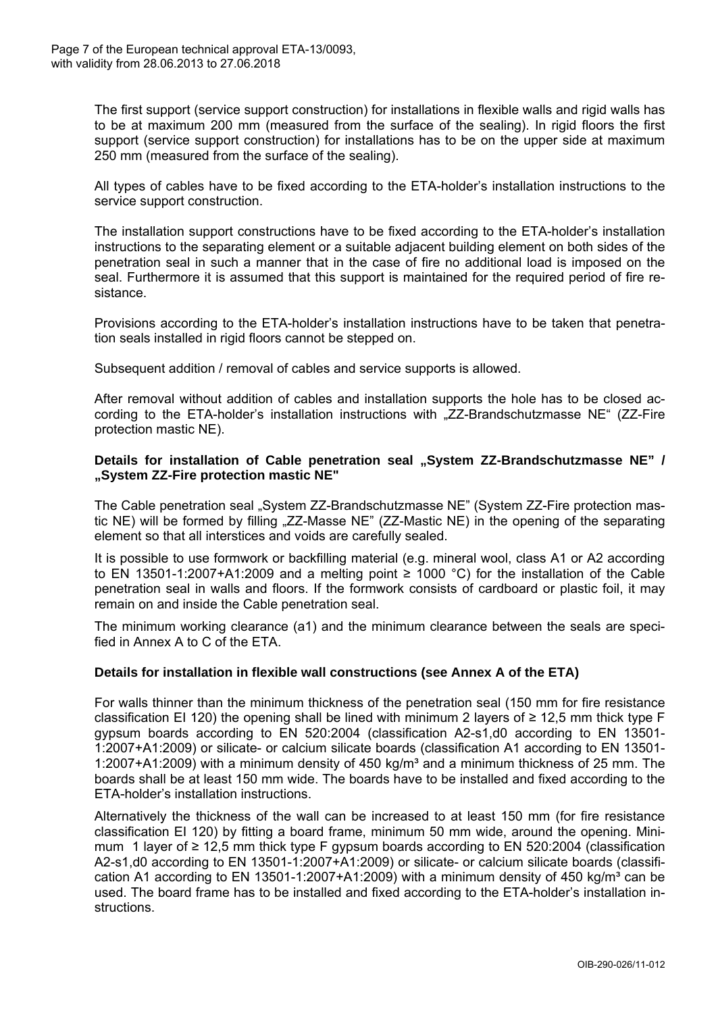

The first support (service support construction) for installations in flexible walls and rigid walls has to be at maximum 200 mm (measured from the surface of the sealing). In rigid floors the first support (service support construction) for installations has to be on the upper side at maximum 250 mm (measured from the surface of the sealing).

All types of cables have to be fixed according to the ETA-holder's installation instructions to the service support construction.

The installation support constructions have to be fixed according to the ETA-holder's installation instructions to the separating element or a suitable adjacent building element on both sides of the penetration seal in such a manner that in the case of fire no additional load is imposed on the seal. Furthermore it is assumed that this support is maintained for the required period of fire resistance.

Provisions according to the ETA-holder's installation instructions have to be taken that penetration seals installed in rigid floors cannot be stepped on.

Subsequent addition / removal of cables and service supports is allowed.

After removal without addition of cables and installation supports the hole has to be closed according to the ETA-holder's installation instructions with "ZZ-Brandschutzmasse NE" (ZZ-Fire protection mastic NE).

### Details for installation of Cable penetration seal "System ZZ-Brandschutzmasse NE" / **"System ZZ-Fire protection mastic NE"**

The Cable penetration seal "System ZZ-Brandschutzmasse NE" (System ZZ-Fire protection mastic NE) will be formed by filling "ZZ-Masse NE" (ZZ-Mastic NE) in the opening of the separating element so that all interstices and voids are carefully sealed.

It is possible to use formwork or backfilling material (e.g. mineral wool, class A1 or A2 according to EN 13501-1:2007+A1:2009 and a melting point  $\geq$  1000 °C) for the installation of the Cable penetration seal in walls and floors. If the formwork consists of cardboard or plastic foil, it may remain on and inside the Cable penetration seal.

The minimum working clearance (a1) and the minimum clearance between the seals are specified in Annex A to C of the ETA.

# **Details for installation in flexible wall constructions (see Annex A of the ETA)**

For walls thinner than the minimum thickness of the penetration seal (150 mm for fire resistance classification EI 120) the opening shall be lined with minimum 2 layers of  $\geq$  12,5 mm thick type F gypsum boards according to EN 520:2004 (classification A2-s1,d0 according to EN 13501- 1:2007+A1:2009) or silicate- or calcium silicate boards (classification A1 according to EN 13501- 1:2007+A1:2009) with a minimum density of 450 kg/m<sup>3</sup> and a minimum thickness of 25 mm. The boards shall be at least 150 mm wide. The boards have to be installed and fixed according to the ETA-holder's installation instructions.

Alternatively the thickness of the wall can be increased to at least 150 mm (for fire resistance classification EI 120) by fitting a board frame, minimum 50 mm wide, around the opening. Minimum 1 layer of ≥ 12,5 mm thick type F gypsum boards according to EN 520:2004 (classification A2-s1,d0 according to EN 13501-1:2007+A1:2009) or silicate- or calcium silicate boards (classification A1 according to EN 13501-1:2007+A1:2009) with a minimum density of 450 kg/m<sup>3</sup> can be used. The board frame has to be installed and fixed according to the ETA-holder's installation instructions.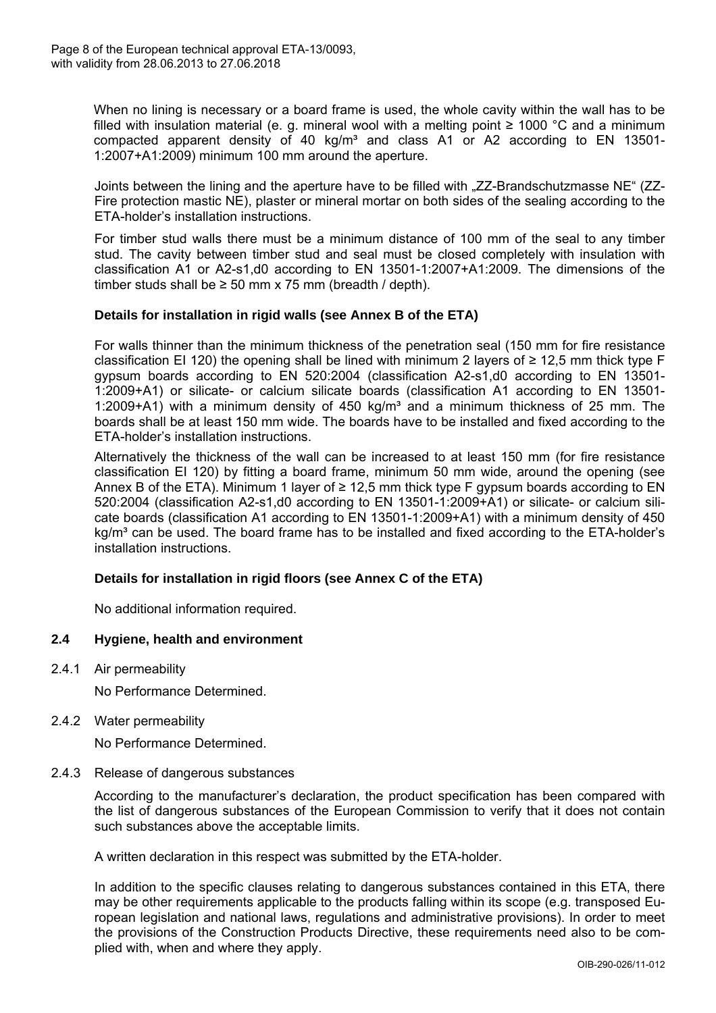

When no lining is necessary or a board frame is used, the whole cavity within the wall has to be filled with insulation material (e. g. mineral wool with a melting point  $≥ 1000 °C$  and a minimum compacted apparent density of 40 kg/m<sup>3</sup> and class A1 or A2 according to EN 13501-1:2007+A1:2009) minimum 100 mm around the aperture.

Joints between the lining and the aperture have to be filled with "ZZ-Brandschutzmasse NE" (ZZ-Fire protection mastic NE), plaster or mineral mortar on both sides of the sealing according to the ETA-holder's installation instructions.

For timber stud walls there must be a minimum distance of 100 mm of the seal to any timber stud. The cavity between timber stud and seal must be closed completely with insulation with classification A1 or A2-s1,d0 according to EN 13501-1:2007+A1:2009. The dimensions of the timber studs shall be  $\geq$  50 mm x 75 mm (breadth / depth).

# **Details for installation in rigid walls (see Annex B of the ETA)**

For walls thinner than the minimum thickness of the penetration seal (150 mm for fire resistance classification EI 120) the opening shall be lined with minimum 2 layers of  $\geq$  12,5 mm thick type F gypsum boards according to EN 520:2004 (classification A2-s1,d0 according to EN 13501- 1:2009+A1) or silicate- or calcium silicate boards (classification A1 according to EN 13501- 1:2009+A1) with a minimum density of 450 kg/m<sup>3</sup> and a minimum thickness of 25 mm. The boards shall be at least 150 mm wide. The boards have to be installed and fixed according to the ETA-holder's installation instructions.

Alternatively the thickness of the wall can be increased to at least 150 mm (for fire resistance classification EI 120) by fitting a board frame, minimum 50 mm wide, around the opening (see Annex B of the ETA). Minimum 1 layer of  $\geq$  12,5 mm thick type F gypsum boards according to EN 520:2004 (classification A2-s1,d0 according to EN 13501-1:2009+A1) or silicate- or calcium silicate boards (classification A1 according to EN 13501-1:2009+A1) with a minimum density of 450 kg/m<sup>3</sup> can be used. The board frame has to be installed and fixed according to the ETA-holder's installation instructions.

# **Details for installation in rigid floors (see Annex C of the ETA)**

No additional information required.

# **2.4 Hygiene, health and environment**

2.4.1 Air permeability

No Performance Determined.

2.4.2 Water permeability

No Performance Determined.

2.4.3 Release of dangerous substances

According to the manufacturer's declaration, the product specification has been compared with the list of dangerous substances of the European Commission to verify that it does not contain such substances above the acceptable limits.

A written declaration in this respect was submitted by the ETA-holder.

In addition to the specific clauses relating to dangerous substances contained in this ETA, there may be other requirements applicable to the products falling within its scope (e.g. transposed European legislation and national laws, regulations and administrative provisions). In order to meet the provisions of the Construction Products Directive, these requirements need also to be complied with, when and where they apply.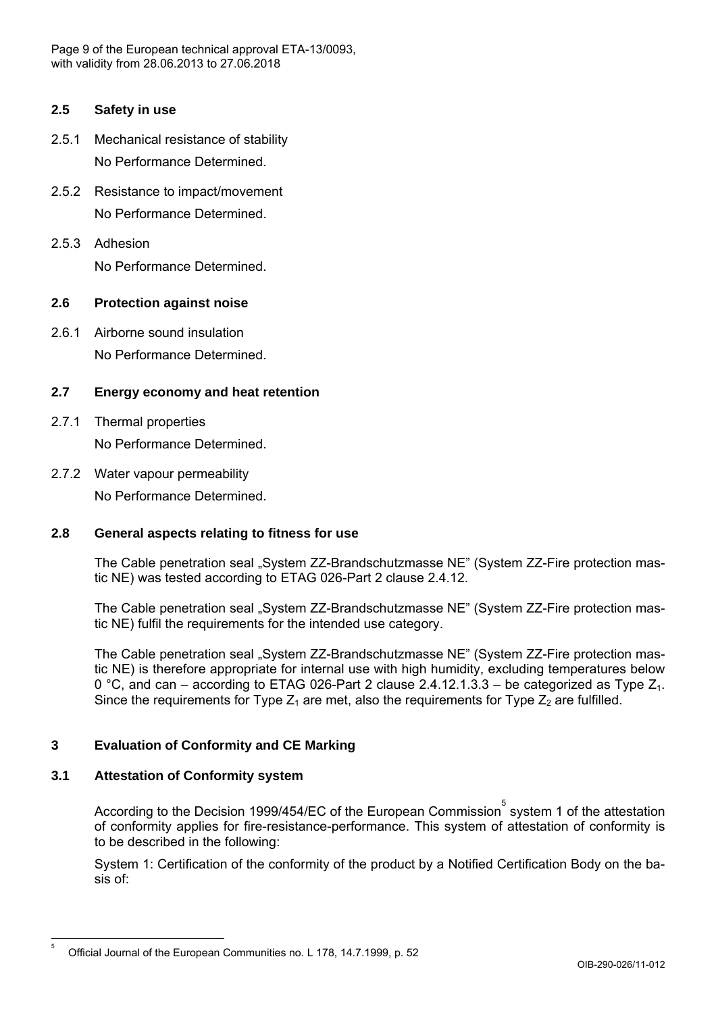

# **2.5 Safety in use**

- 2.5.1 Mechanical resistance of stability No Performance Determined.
- 2.5.2 Resistance to impact/movement No Performance Determined.
- 2.5.3 Adhesion No Performance Determined.

# **2.6 Protection against noise**

2.6.1 Airborne sound insulation No Performance Determined.

# **2.7 Energy economy and heat retention**

- 2.7.1 Thermal properties No Performance Determined.
- 2.7.2 Water vapour permeability No Performance Determined.

# **2.8 General aspects relating to fitness for use**

The Cable penetration seal "System ZZ-Brandschutzmasse NE" (System ZZ-Fire protection mastic NE) was tested according to ETAG 026-Part 2 clause 2.4.12.

The Cable penetration seal "System ZZ-Brandschutzmasse NE" (System ZZ-Fire protection mastic NE) fulfil the requirements for the intended use category.

The Cable penetration seal "System ZZ-Brandschutzmasse NE" (System ZZ-Fire protection mastic NE) is therefore appropriate for internal use with high humidity, excluding temperatures below 0 °C, and can – according to ETAG 026-Part 2 clause 2.4.12.1.3.3 – be categorized as Type  $Z_1$ . Since the requirements for Type  $Z_1$  are met, also the requirements for Type  $Z_2$  are fulfilled.

# **3 Evaluation of Conformity and CE Marking**

# **3.1 Attestation of Conformity system**

According to the Decision 1999/454/EC of the European Commission $\mathring{\text{S}}$  system 1 of the attestation of conformity applies for fire-resistance-performance. This system of attestation of conformity is to be described in the following:

System 1: Certification of the conformity of the product by a Notified Certification Body on the basis of:

<sup>5</sup> Official Journal of the European Communities no. L 178, 14.7.1999, p. 52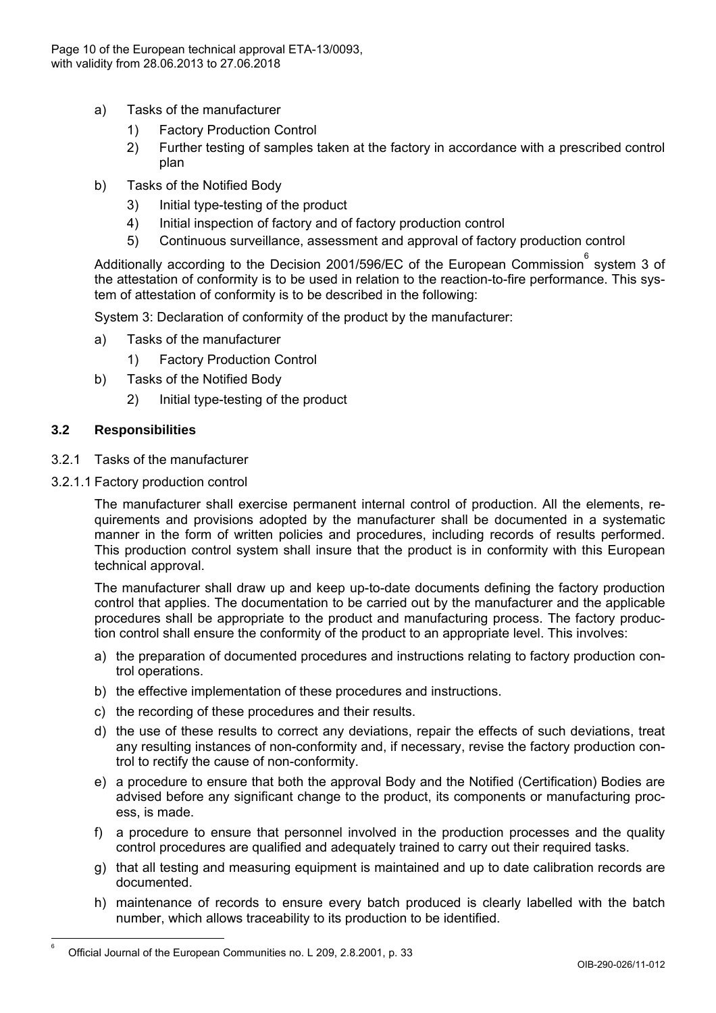

- a) Tasks of the manufacturer
	- 1) Factory Production Control
	- 2) Further testing of samples taken at the factory in accordance with a prescribed control plan
- b) Tasks of the Notified Body
	- 3) Initial type-testing of the product
	- 4) Initial inspection of factory and of factory production control
	- 5) Continuous surveillance, assessment and approval of factory production control

Additionally according to the Decision 2001/596/EC of the European Commission  $\degree$  system 3 of the attestation of conformity is to be used in relation to the reaction-to-fire performance. This system of attestation of conformity is to be described in the following:

System 3: Declaration of conformity of the product by the manufacturer:

- a) Tasks of the manufacturer
	- 1) Factory Production Control
- b) Tasks of the Notified Body
	- 2) Initial type-testing of the product

### **3.2 Responsibilities**

 6

- 3.2.1 Tasks of the manufacturer
- 3.2.1.1 Factory production control

The manufacturer shall exercise permanent internal control of production. All the elements, requirements and provisions adopted by the manufacturer shall be documented in a systematic manner in the form of written policies and procedures, including records of results performed. This production control system shall insure that the product is in conformity with this European technical approval.

The manufacturer shall draw up and keep up-to-date documents defining the factory production control that applies. The documentation to be carried out by the manufacturer and the applicable procedures shall be appropriate to the product and manufacturing process. The factory production control shall ensure the conformity of the product to an appropriate level. This involves:

- a) the preparation of documented procedures and instructions relating to factory production control operations.
- b) the effective implementation of these procedures and instructions.
- c) the recording of these procedures and their results.
- d) the use of these results to correct any deviations, repair the effects of such deviations, treat any resulting instances of non-conformity and, if necessary, revise the factory production control to rectify the cause of non-conformity.
- e) a procedure to ensure that both the approval Body and the Notified (Certification) Bodies are advised before any significant change to the product, its components or manufacturing process, is made.
- f) a procedure to ensure that personnel involved in the production processes and the quality control procedures are qualified and adequately trained to carry out their required tasks.
- g) that all testing and measuring equipment is maintained and up to date calibration records are documented.
- h) maintenance of records to ensure every batch produced is clearly labelled with the batch number, which allows traceability to its production to be identified.

Official Journal of the European Communities no. L 209, 2.8.2001, p. 33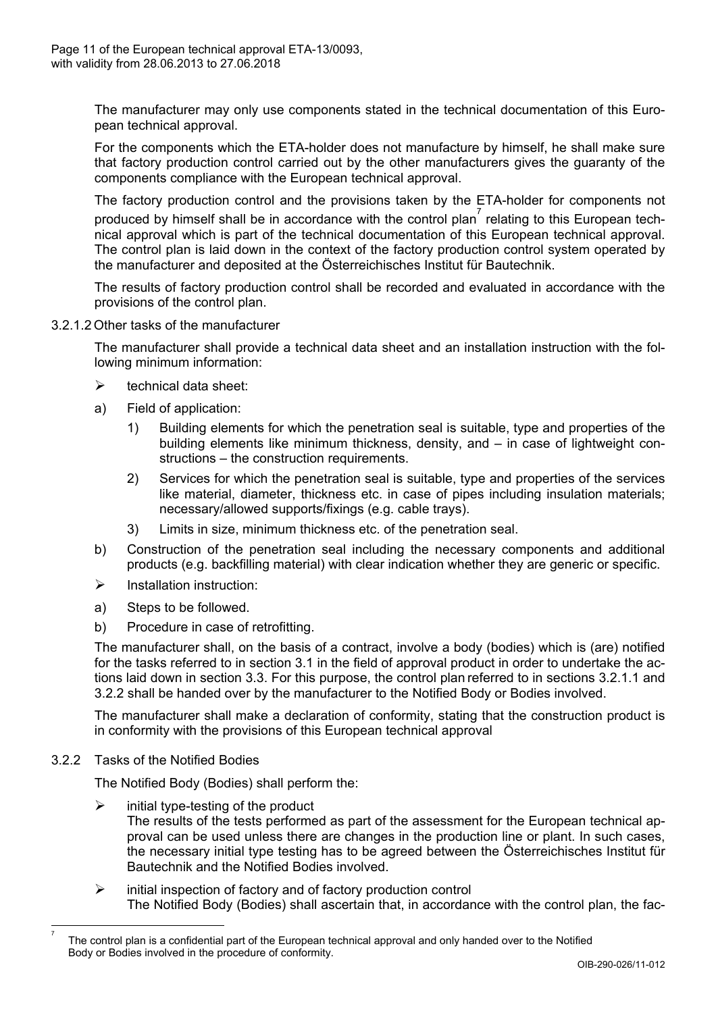

The manufacturer may only use components stated in the technical documentation of this European technical approval.

For the components which the ETA-holder does not manufacture by himself, he shall make sure that factory production control carried out by the other manufacturers gives the guaranty of the components compliance with the European technical approval.

The factory production control and the provisions taken by the ETA-holder for components not produced by himself shall be in accordance with the control plan<sup>7</sup> relating to this European technical approval which is part of the technical documentation of this European technical approval. The control plan is laid down in the context of the factory production control system operated by the manufacturer and deposited at the Österreichisches Institut für Bautechnik.

The results of factory production control shall be recorded and evaluated in accordance with the provisions of the control plan.

### 3.2.1.2 Other tasks of the manufacturer

The manufacturer shall provide a technical data sheet and an installation instruction with the following minimum information:

- $\triangleright$  technical data sheet:
- a) Field of application:
	- 1) Building elements for which the penetration seal is suitable, type and properties of the building elements like minimum thickness, density, and – in case of lightweight constructions – the construction requirements.
	- 2) Services for which the penetration seal is suitable, type and properties of the services like material, diameter, thickness etc. in case of pipes including insulation materials; necessary/allowed supports/fixings (e.g. cable trays).
	- 3) Limits in size, minimum thickness etc. of the penetration seal.
- b) Construction of the penetration seal including the necessary components and additional products (e.g. backfilling material) with clear indication whether they are generic or specific.
- $\triangleright$  Installation instruction:
- a) Steps to be followed.
- b) Procedure in case of retrofitting.

The manufacturer shall, on the basis of a contract, involve a body (bodies) which is (are) notified for the tasks referred to in section 3.1 in the field of approval product in order to undertake the actions laid down in section 3.3. For this purpose, the control plan referred to in sections 3.2.1.1 and 3.2.2 shall be handed over by the manufacturer to the Notified Body or Bodies involved.

The manufacturer shall make a declaration of conformity, stating that the construction product is in conformity with the provisions of this European technical approval

3.2.2 Tasks of the Notified Bodies

 7 The Notified Body (Bodies) shall perform the:

- $\triangleright$  initial type-testing of the product The results of the tests performed as part of the assessment for the European technical approval can be used unless there are changes in the production line or plant. In such cases, the necessary initial type testing has to be agreed between the Österreichisches Institut für Bautechnik and the Notified Bodies involved.
- $\triangleright$  initial inspection of factory and of factory production control The Notified Body (Bodies) shall ascertain that, in accordance with the control plan, the fac-

The control plan is a confidential part of the European technical approval and only handed over to the Notified Body or Bodies involved in the procedure of conformity.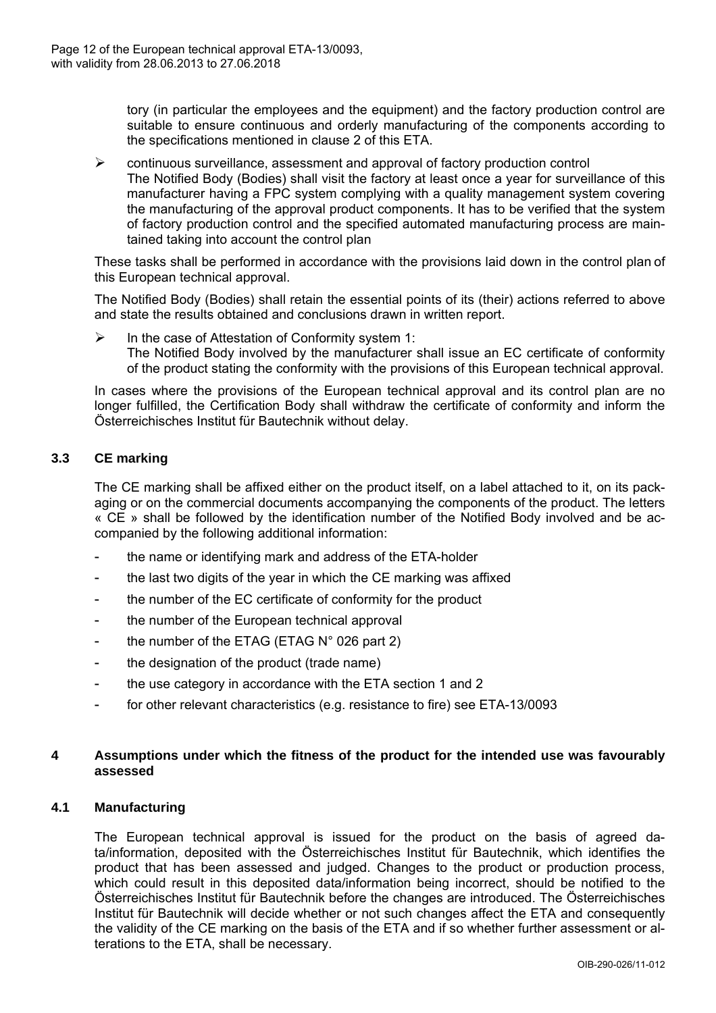

tory (in particular the employees and the equipment) and the factory production control are suitable to ensure continuous and orderly manufacturing of the components according to the specifications mentioned in clause 2 of this ETA.

 $\triangleright$  continuous surveillance, assessment and approval of factory production control The Notified Body (Bodies) shall visit the factory at least once a year for surveillance of this manufacturer having a FPC system complying with a quality management system covering the manufacturing of the approval product components. It has to be verified that the system of factory production control and the specified automated manufacturing process are maintained taking into account the control plan

These tasks shall be performed in accordance with the provisions laid down in the control plan of this European technical approval.

The Notified Body (Bodies) shall retain the essential points of its (their) actions referred to above and state the results obtained and conclusions drawn in written report.

 $\triangleright$  In the case of Attestation of Conformity system 1: The Notified Body involved by the manufacturer shall issue an EC certificate of conformity of the product stating the conformity with the provisions of this European technical approval.

In cases where the provisions of the European technical approval and its control plan are no longer fulfilled, the Certification Body shall withdraw the certificate of conformity and inform the Österreichisches Institut für Bautechnik without delay.

# **3.3 CE marking**

The CE marking shall be affixed either on the product itself, on a label attached to it, on its packaging or on the commercial documents accompanying the components of the product. The letters « CE » shall be followed by the identification number of the Notified Body involved and be accompanied by the following additional information:

- the name or identifying mark and address of the ETA-holder
- the last two digits of the year in which the CE marking was affixed
- the number of the EC certificate of conformity for the product
- the number of the European technical approval
- the number of the ETAG (ETAG  $N^{\circ}$  026 part 2)
- the designation of the product (trade name)
- the use category in accordance with the ETA section 1 and 2
- for other relevant characteristics (e.g. resistance to fire) see ETA-13/0093

### **4 Assumptions under which the fitness of the product for the intended use was favourably assessed**

### **4.1 Manufacturing**

The European technical approval is issued for the product on the basis of agreed data/information, deposited with the Österreichisches Institut für Bautechnik, which identifies the product that has been assessed and judged. Changes to the product or production process, which could result in this deposited data/information being incorrect, should be notified to the Österreichisches Institut für Bautechnik before the changes are introduced. The Österreichisches Institut für Bautechnik will decide whether or not such changes affect the ETA and consequently the validity of the CE marking on the basis of the ETA and if so whether further assessment or alterations to the ETA, shall be necessary.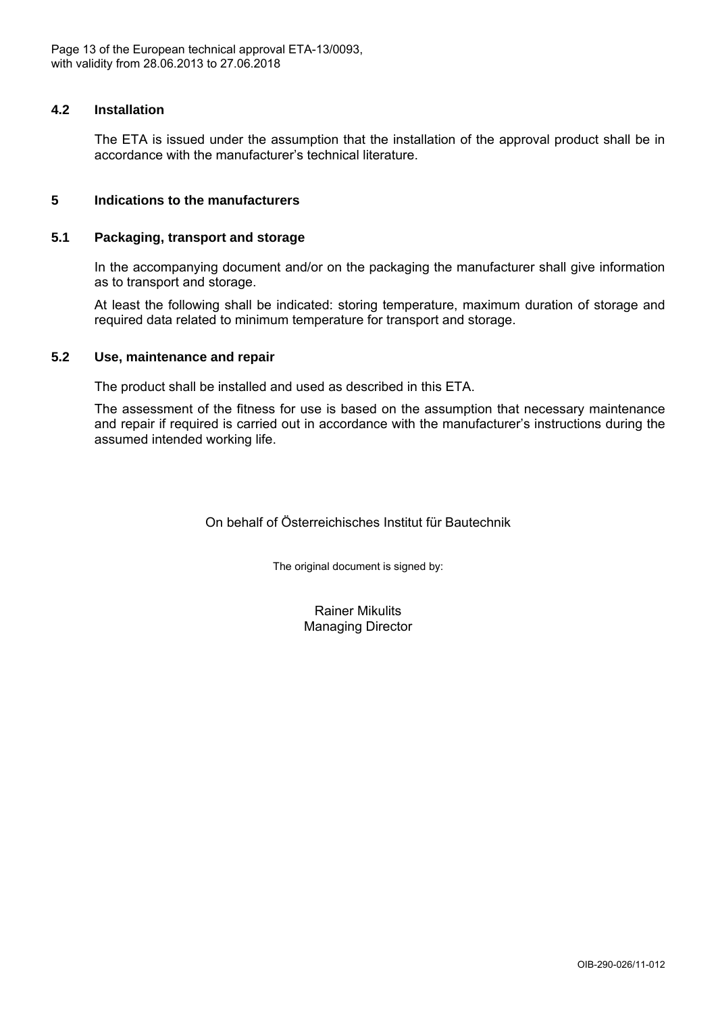

### **4.2 Installation**

The ETA is issued under the assumption that the installation of the approval product shall be in accordance with the manufacturer's technical literature.

### **5 Indications to the manufacturers**

### **5.1 Packaging, transport and storage**

In the accompanying document and/or on the packaging the manufacturer shall give information as to transport and storage.

At least the following shall be indicated: storing temperature, maximum duration of storage and required data related to minimum temperature for transport and storage.

### **5.2 Use, maintenance and repair**

The product shall be installed and used as described in this ETA.

The assessment of the fitness for use is based on the assumption that necessary maintenance and repair if required is carried out in accordance with the manufacturer's instructions during the assumed intended working life.

On behalf of Österreichisches Institut für Bautechnik

The original document is signed by:

Rainer Mikulits Managing Director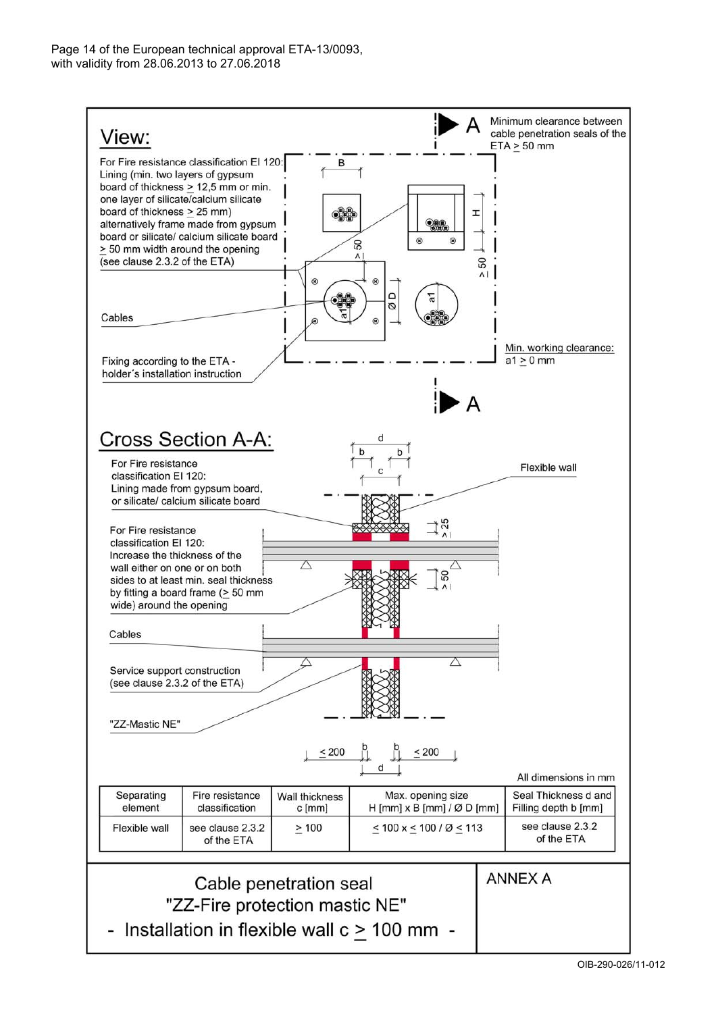

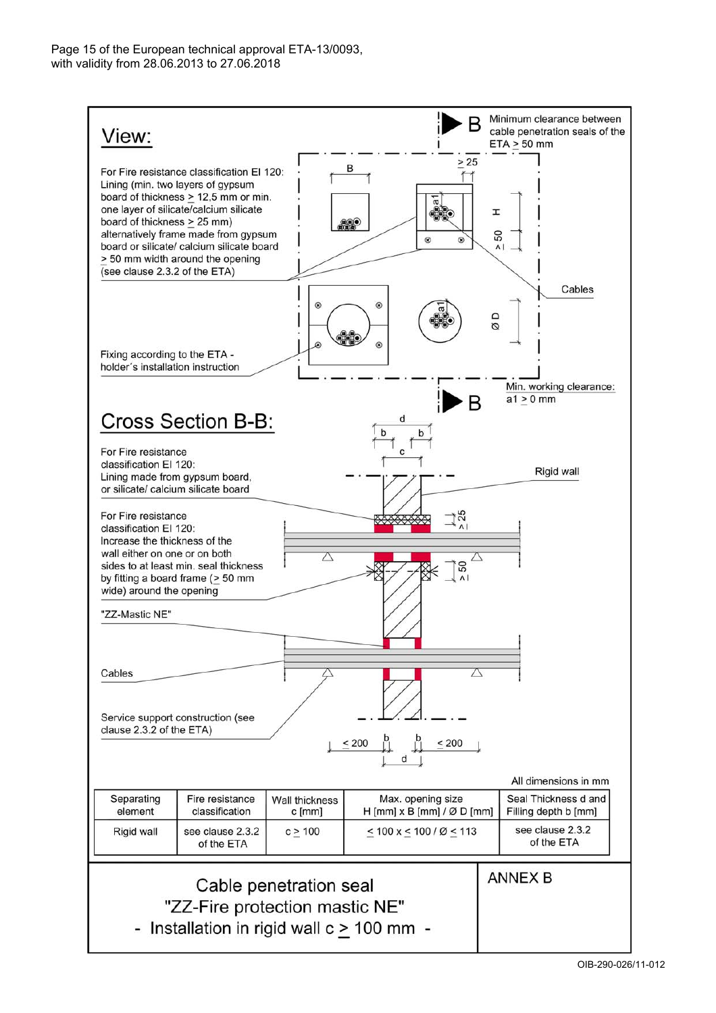